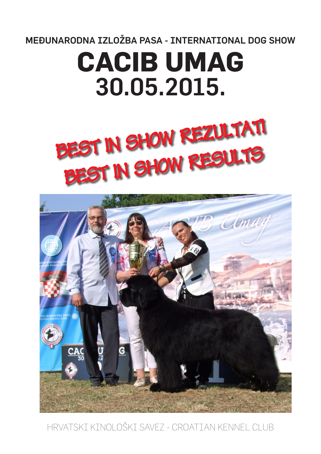MEĐUNARODNA IZLOŽBA PASA - INTERNATIONAL DOG SHOW

# **CACIB UMAG**  30.05.2015.





HRVATSKI KINOLOŠKI SAVEZ - CROATIAN KENNEL CLUB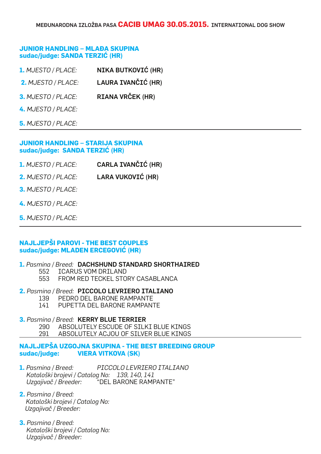## **JUNIOR HANDLING – MLAĐA SKUPINA sudac/judge: SANDA TERZIĆ (HR)**

| 1. MJESTO / PLACE:        | NIKA BUTKOVIĆ (HR) |
|---------------------------|--------------------|
| 2. MJESTO / PLACE:        | LAURA IVANČIĆ (HR) |
| <b>3. MJESTO / PLACE:</b> | RIANA VRČEK (HR)   |
| 4. MJESTO / PLACE:        |                    |
| <b>5. MJESTO / PLACE:</b> |                    |

## **JUNIOR HANDLING – STARIJA SKUPINA sudac/judge: SANDA TERZIĆ (HR)**

- **1.** *MJESTO / PLACE:* CARLA IVANČIĆ (HR)
- **2.** *MJESTO / PLACE:* LARA VUKOVIĆ (HR)
- **3.** *MJESTO / PLACE:*
- **4.** *MJESTO / PLACE:*
- **5.** *MJESTO / PLACE:*

## **NAJLJEPŠI PAROVI - THE BEST COUPLES sudac/judge: MLADEN ERCEGOVIĆ (HR)**

## **1.** *Pasmina / Breed:* DACHSHUND STANDARD SHORTHAIRED

- 552 ICARUS VOM DRILAND
- 553 FROM RED TECKEL STORY CASABLANCA

## **2.** *Pasmina / Breed:* PICCOLO LEVRIERO ITALIANO

- 139 PEDRO DEL BARONE RAMPANTE<br>141 PUPETTA DEL BARONE RAMPANT
- PUPETTA DEL BARONE RAMPANTE

## **3.** *Pasmina / Breed:* KERRY BLUE TERRIER

290 ABSOLUTELY ESCUDE OF SILKI BLUE KINGS

## 291 ABSOLUTELY ACJOU OF SILVER BLUE KINGS **NAJLJEPŠA UZGOJNA SKUPINA - THE BEST BREEDING GROUP**

## **sudac/judge: VIERA VITKOVA (SK)**

**1.** *Pasmina / Breed: PICCOLO LEVRIERO ITALIANO Kataloški brojevi / Catalog No: 139, 140, 141 Uzgajivač / Breeder:* "DEL BARONE RAMPANTE"

- **2.** *Pasmina / Breed: Kataloški brojevi / Catalog No: Uzgajivač / Breeder:*
- **3.** *Pasmina / Breed: Kataloški brojevi / Catalog No: Uzgajivač / Breeder:*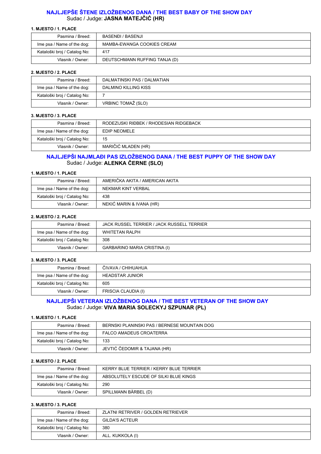## **NAJLJEPŠE ŠTENE IZLOŽBENOG DANA / THE BEST BABY OF THE SHOW DAY** Sudac / Judge: **JASNA MATEJČIĆ (HR)**

#### **1. MJESTO / 1. PLACE**

| Pasmina / Breed:             | BASENDI / BASENJI             |
|------------------------------|-------------------------------|
| Ime psa / Name of the dog:   | MAMBA-EWANGA COOKIES CREAM    |
| Kataloški broj / Catalog No: | 417                           |
| Vlasnik / Owner:             | DEUTSCHMANN RUFFING TANJA (D) |

#### **2. MJESTO / 2. PLACE**

| Pasmina / Breed:             | DALMATINSKI PAS / DALMATIAN |
|------------------------------|-----------------------------|
| Ime psa / Name of the dog:   | DALMINO KILLING KISS        |
| Kataloški broj / Catalog No: |                             |
| Vlasnik / Owner:             | VRBINC TOMAŽ (SLO)          |

#### **3. MJESTO / 3. PLACE**

| Pasmina / Breed:             | RODEZIJSKI RIĐBEK / RHODESIAN RIDGEBACK |
|------------------------------|-----------------------------------------|
| Ime psa / Name of the dog:   | EDIP NEOMELE                            |
| Kataloški broj / Catalog No: | 15                                      |
| Vlasnik / Owner:             | MARIČIĆ MLADEN (HR)                     |

## **NAJLJEPŠI NAJMLAĐI PAS IZLOŽBENOG DANA / THE BEST PUPPY OF THE SHOW DAY** Sudac / Judge: **ALENKA ČERNE (SLO)**

#### **1. MJESTO / 1. PLACE**

| Pasmina / Breed:             | AMERIČKA AKITA / AMERICAN AKITA |
|------------------------------|---------------------------------|
| Ime psa / Name of the dog:   | NEKMAR KINT VERBAL              |
| Kataloški broj / Catalog No: | 438                             |
| Vlasnik / Owner:             | NEKIĆ MARIN & IVANA (HR)        |

#### **2. MJESTO / 2. PLACE**

| Pasmina / Breed:             | JACK RUSSEL TERRIER / JACK RUSSELL TERRIER |
|------------------------------|--------------------------------------------|
| Ime psa / Name of the dog:   | WHITETAN RALPH                             |
| Kataloški broj / Catalog No: | 308                                        |
| Vlasnik / Owner:             | GARBARINO MARIA CRISTINA (I)               |

#### **3. MJESTO / 3. PLACE**

| Pasmina / Breed:             | ČIVAVA / CHIHUAHUA  |
|------------------------------|---------------------|
| Ime psa / Name of the dog:   | HEADSTAR JUNIOR     |
| Kataloški broj / Catalog No: | 605                 |
| Vlasnik / Owner:             | FRISCIA CLAUDIA (I) |

#### **NAJLJEPŠI VETERAN IZLOŽBENOG DANA / THE BEST VETERAN OF THE SHOW DAY** Sudac / Judge: **VIVA MARIA SOLECKYJ SZPUNAR (PL)**

#### **1. MJESTO / 1. PLACE**

| Pasmina / Breed:             | BERNSKI PLANINSKI PAS / BERNESE MOUNTAIN DOG |
|------------------------------|----------------------------------------------|
| Ime psa / Name of the dog:   | <b>FALCO AMADEUS CROATERRA</b>               |
| Kataloški broj / Catalog No: | 133                                          |
| Vlasnik / Owner:             | JEVTIĆ ČEDOMIR & TAJANA (HR)                 |

## **2. MJESTO / 2. PLACE**

| Pasmina / Breed:             | KERRY BLUE TERRIER / KERRY BLUE TERRIER |
|------------------------------|-----------------------------------------|
| Ime psa / Name of the dog:   | ABSOLUTELY ESCUDE OF SILKI BLUE KINGS   |
| Kataloški broj / Catalog No: | 290                                     |
| Vlasnik / Owner:             | SPILLMANN BÄRBEL (D)                    |

| Pasmina / Breed:             | ZLATNI RETRIVER / GOLDEN RETRIEVER |
|------------------------------|------------------------------------|
| Ime psa / Name of the dog:   | <b>GILDA'S ACTEUR</b>              |
| Kataloški broj / Catalog No: | 380                                |
| Vlasnik / Owner:             | ALL. KUKKOLA (I)                   |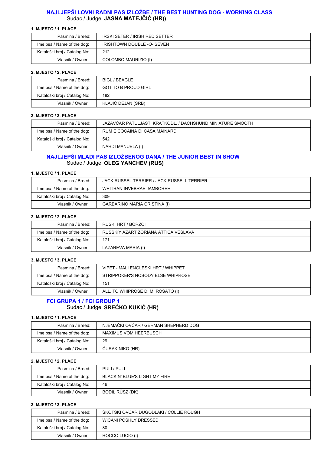## **NAJLJEPŠI LOVNI RADNI PAS IZLOŽBE / THE BEST HUNTING DOG - WORKING CLASS** Sudac / Judge: **JASNA MATEJČIĆ (HR))**

#### **1. MJESTO / 1. PLACE**

| Pasmina / Breed:             | IRSKI SETER / IRISH RED SETTER    |
|------------------------------|-----------------------------------|
| Ime psa / Name of the dog:   | <b>IRISHTOWN DOUBLE -O- SEVEN</b> |
| Kataloški broj / Catalog No: | 212                               |
| Vlasnik / Owner:             | COLOMBO MAURIZIO (I)              |

#### **2. MJESTO / 2. PLACE**

| Pasmina / Breed:             | BIGL / BEAGLE              |
|------------------------------|----------------------------|
| Ime psa / Name of the dog:   | <b>GOT TO B PROUD GIRL</b> |
| Kataloški broj / Catalog No: | 182                        |
| Vlasnik / Owner:             | KLAJIĆ DEJAN (SRB)         |

#### **3. MJESTO / 3. PLACE**

| Pasmina / Breed:             | JAZAVČAR PATULJASTI KRATKODL. / DACHSHUND MINIATURE SMOOTH |
|------------------------------|------------------------------------------------------------|
| Ime psa / Name of the dog:   | RUM E COCAINA DI CASA MAINARDI                             |
| Kataloški broj / Catalog No: | 542                                                        |
| Vlasnik / Owner:             | NARDI MANUELA (I)                                          |

## **NAJLJEPŠI MLADI PAS IZLOŽBENOG DANA / THE JUNIOR BEST IN SHOW** Sudac / Judge: **OLEG YANCHEV (RUS)**

#### **1. MJESTO / 1. PLACE**

| Pasmina / Breed:             | JACK RUSSEL TERRIER / JACK RUSSELL TERRIER |
|------------------------------|--------------------------------------------|
| Ime psa / Name of the dog:   | WHITRAN INVEBRAE JAMBOREE                  |
| Kataloški broj / Catalog No: | 309                                        |
| Vlasnik / Owner:             | GARBARINO MARIA CRISTINA (I)               |

#### **2. MJESTO / 2. PLACE**

| Pasmina / Breed:             | RUSKI HRT / BORZOL                   |
|------------------------------|--------------------------------------|
| Ime psa / Name of the dog:   | RUSSKIY AZART ZORIANA ATTICA VESLAVA |
| Kataloški broj / Catalog No: | 171                                  |
| Vlasnik / Owner:             | LAZAREVA MARIA (I)                   |

#### **3. MJESTO / 3. PLACE**

| Pasmina / Breed:             | VIPET - MALI ENGLESKI HRT / WHIPPET |
|------------------------------|-------------------------------------|
| Ime psa / Name of the dog:   | STRIPPOKER'S NOBODY ELSE WHIPROSE   |
| Kataloški broj / Catalog No: | 151                                 |
| Vlasnik / Owner:             | ALL. TO WHIPROSE DI M. ROSATO (I)   |

## **FCI GRUPA 1 / FCI GROUP 1** Sudac / Judge: **SREĆKO KUKIĆ (HR)**

#### **1. MJESTO / 1. PLACE**

| Pasmina / Breed:             | NJEMAČKI OVČAR / GERMAN SHEPHERD DOG |
|------------------------------|--------------------------------------|
| Ime psa / Name of the dog:   | MAXIMUS VOM HEERBUSCH                |
| Kataloški broj / Catalog No: | 29                                   |
| Vlasnik / Owner:             | CURAK NIKO (HR)                      |

#### **2. MJESTO / 2. PLACE**

| Pasmina / Breed:             | PULI / PULI                   |
|------------------------------|-------------------------------|
| Ime psa / Name of the dog:   | BLACK N' BLUE'S LIGHT MY FIRE |
| Kataloški broj / Catalog No: | 46                            |
| Vlasnik / Owner:             | BODIL RÜSZ (DK)               |

| Pasmina / Breed:             | ŠKOTSKI OVČAR DUGODLAKI / COLLIE ROUGH |
|------------------------------|----------------------------------------|
| Ime psa / Name of the dog:   | WICANI POSHLY DRESSED                  |
| Kataloški broj / Catalog No: | -80                                    |
| Vlasnik / Owner:             | ROCCO LUCIO (I)                        |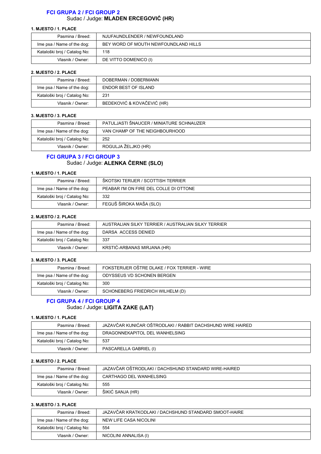## **FCI GRUPA 2 / FCI GROUP 2**

Sudac / Judge: **MLADEN ERCEGOVIĆ (HR)**

#### **1. MJESTO / 1. PLACE**

| Pasmina / Breed:             | NJUFAUNDLENDER / NEWFOUNDLAND        |
|------------------------------|--------------------------------------|
| Ime psa / Name of the dog:   | BEY WORD OF MOUTH NEWFOUNDLAND HILLS |
| Kataloški broj / Catalog No: | 118                                  |
| Vlasnik / Owner:             | DE VITTO DOMENICO (I)                |

#### **2. MJESTO / 2. PLACE**

| Pasmina / Breed:             | DOBERMAN / DOBERMANN       |
|------------------------------|----------------------------|
| Ime psa / Name of the dog:   | ENDOR BEST OF ISLAND       |
| Kataloški broj / Catalog No: | 231                        |
| Vlasnik / Owner:             | BEDEKOVIĆ & KOVAČEVIĆ (HR) |

#### **3. MJESTO / 3. PLACE**

| Pasmina / Breed:             | PATULJASTI ŠNAUCER / MINIATURE SCHNAUZER |
|------------------------------|------------------------------------------|
| Ime psa / Name of the dog:   | VAN CHAMP OF THE NEIGHBOURHOOD           |
| Kataloški broj / Catalog No: | 252                                      |
| Vlasnik / Owner:             | ROGULJA ŽELJKO (HR)                      |

## **FCI GRUPA 3 / FCI GROUP 3** Sudac / Judge: **ALENKA ČERNE (SLO)**

#### **1. MJESTO / 1. PLACE**

| Pasmina / Breed:             | ŠKOTSKI TERIJER / SCOTTISH TERRIER     |
|------------------------------|----------------------------------------|
| Ime psa / Name of the dog:   | PEABAR I'M ON FIRE DEL COLLE DI OTTONE |
| Kataloški broj / Catalog No: | 332                                    |
| Vlasnik / Owner:             | FEGUŠ ŠIROKA MAŠA (SLO)                |

#### **2. MJESTO / 2. PLACE**

| Pasmina / Breed:             | AUSTRALIAN SILKY TERRIER / AUSTRALIAN SILKY TERRIER |
|------------------------------|-----------------------------------------------------|
| Ime psa / Name of the dog:   | DARSA ACCESS DENIED                                 |
| Kataloški broj / Catalog No: | 337                                                 |
| Vlasnik / Owner:             | KRSTIĆ-ARBANAS MIRJANA (HR)                         |

#### **3. MJESTO / 3. PLACE**

| Pasmina / Breed:             | FOKSTERIJER OŠTRE DLAKE / FOX TERRIER - WIRE |
|------------------------------|----------------------------------------------|
| Ime psa / Name of the dog:   | ODYSSEUS VD SCHONEN BERGEN                   |
| Kataloški broj / Catalog No: | 300                                          |
| Vlasnik / Owner:             | SCHONEBERG FRIEDRICH WILHELM (D)             |

## **FCI GRUPA 4 / FCI GROUP 4** Sudac / Judge: **LIGITA ZAKE (LAT)**

#### **1. MJESTO / 1. PLACE**

| Pasmina / Breed:             | JAZAVČAR KUNIĆAR OŠTRODLAKI / RABBIT DACHSHUND WIRE HAIRED |
|------------------------------|------------------------------------------------------------|
| Ime psa / Name of the dog:   | DRAGONNEKAPITOL DEL WANHELSING                             |
| Kataloški broj / Catalog No: | 537                                                        |
| Vlasnik / Owner:             | PASCARELLA GABRIEL (I)                                     |

#### **2. MJESTO / 2. PLACE**

| Pasmina / Breed:             | JAZAVČAR OŠTRODLAKI / DACHSHUND STANDARD WIRE-HAIRED |
|------------------------------|------------------------------------------------------|
| Ime psa / Name of the dog:   | CARTHAGO DEL WANHELSING                              |
| Kataloški broj / Catalog No: | 555                                                  |
| Vlasnik / Owner:             | ŠIKIĆ SANJA (HR)                                     |

| Pasmina / Breed:             | JAZAVČAR KRATKODLAKI / DACHSHUND STANDARD SMOOT-HAIRE |
|------------------------------|-------------------------------------------------------|
| Ime psa / Name of the dog:   | NEW LIFE CASA NICOLINI                                |
| Kataloški broj / Catalog No: | 554                                                   |
| Vlasnik / Owner:             | NICOLINI ANNALISA (I)                                 |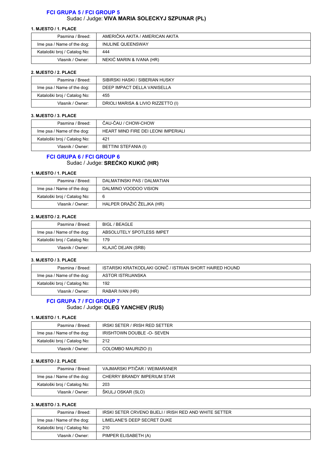## **FCI GRUPA 5 / FCI GROUP 5** Sudac / Judge: **VIVA MARIA SOLECKYJ SZPUNAR (PL)**

#### **1. MJESTO / 1. PLACE**

| Pasmina / Breed:             | AMERIČKA AKITA / AMERICAN AKITA |
|------------------------------|---------------------------------|
| Ime psa / Name of the dog:   | <b>INULINE QUEENSWAY</b>        |
| Kataloški broj / Catalog No: | 444                             |
| Vlasnik / Owner:             | NEKIĆ MARIN & IVANA (HR)        |

#### **2. MJESTO / 2. PLACE**

| Pasmina / Breed:             | SIBIRSKI HASKI / SIBERIAN HUSKY    |
|------------------------------|------------------------------------|
| Ime psa / Name of the dog:   | DEEP IMPACT DELLA VANISELLA        |
| Kataloški broj / Catalog No: | 455                                |
| Vlasnik / Owner:             | DRIOLI MARISA & LIVIO RIZZETTO (I) |

#### **3. MJESTO / 3. PLACE**

| Pasmina / Breed:             | ČAU-ČAU / CHOW-CHOW                 |
|------------------------------|-------------------------------------|
| Ime psa / Name of the dog:   | HEART MIND FIRE DEI LEONI IMPERIALI |
| Kataloški broj / Catalog No: | 421                                 |
| Vlasnik / Owner:             | BETTINI STEFANIA (I)                |

## **FCI GRUPA 6 / FCI GROUP 6** Sudac / Judge: **SREĆKO KUKIĆ (HR)**

#### **1. MJESTO / 1. PLACE**

| Pasmina / Breed:             | DALMATINSKI PAS / DALMATIAN |
|------------------------------|-----------------------------|
| Ime psa / Name of the dog:   | DALMINO VOODOO VISION       |
| Kataloški broj / Catalog No: | 6                           |
| Vlasnik / Owner:             | HALPER DRAŽIĆ ŽELJKA (HR)   |

#### **2. MJESTO / 2. PLACE**

| Pasmina / Breed:             | BIGL / BEAGLE             |
|------------------------------|---------------------------|
| Ime psa / Name of the dog:   | ABSOLUTELY SPOTLESS IMPET |
| Kataloški broj / Catalog No: | 179                       |
| Vlasnik / Owner:             | KLAJIĆ DEJAN (SRB)        |

#### **3. MJESTO / 3. PLACE**

| Pasmina / Breed:             | ISTARSKI KRATKODLAKI GONIČ / ISTRIAN SHORT HAIRED HOUND |
|------------------------------|---------------------------------------------------------|
| Ime psa / Name of the dog:   | ASTOR ISTRIJANSKA                                       |
| Kataloški broj / Catalog No: | 192                                                     |
| Vlasnik / Owner:             | RABAR IVAN (HR)                                         |

## **FCI GRUPA 7 / FCI GROUP 7** Sudac / Judge: **OLEG YANCHEV (RUS)**

#### **1. MJESTO / 1. PLACE**

| Pasmina / Breed:             | IRSKI SETER / IRISH RED SETTER |
|------------------------------|--------------------------------|
| Ime psa / Name of the dog:   | IRISHTOWN DOUBLE -O- SEVEN     |
| Kataloški broj / Catalog No: | 212                            |
| Vlasnik / Owner:             | COLOMBO MAURIZIO (I)           |

#### **2. MJESTO / 2. PLACE**

| Pasmina / Breed:             | VAJMARSKI PTIČAR / WEIMARANER |
|------------------------------|-------------------------------|
| Ime psa / Name of the dog:   | CHERRY BRANDY IMPERIUM STAR   |
| Kataloški broj / Catalog No: | 203                           |
| Vlasnik / Owner:             | ŠKULJ OSKAR (SLO)             |

| Pasmina / Breed:             | IRSKI SETER CRVENO BIJELI / IRISH RED AND WHITE SETTER |
|------------------------------|--------------------------------------------------------|
| Ime psa / Name of the dog:   | LIMELANE'S DEEP SECRET DUKE                            |
| Kataloški broj / Catalog No: | 210                                                    |
| Vlasnik / Owner:             | PIMPER ELISABETH (A)                                   |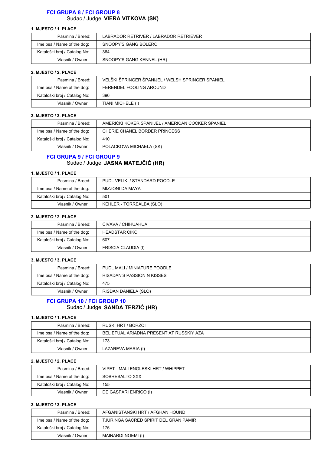## **FCI GRUPA 8 / FCI GROUP 8** Sudac / Judge: **VIERA VITKOVA (SK)**

#### **1. MJESTO / 1. PLACE**

| Pasmina / Breed:             | LABRADOR RETRIVER / LABRADOR RETRIEVER |
|------------------------------|----------------------------------------|
| Ime psa / Name of the dog:   | SNOOPY'S GANG BOLERO                   |
| Kataloški broj / Catalog No: | 364                                    |
| Vlasnik / Owner:             | SNOOPY'S GANG KENNEL (HR)              |

#### **2. MJESTO / 2. PLACE**

| Pasmina / Breed:             | VELŠKI ŠPRINGER ŠPANIJEL / WELSH SPRINGER SPANIEL |
|------------------------------|---------------------------------------------------|
| Ime psa / Name of the dog:   | FERENDEL FOOLING AROUND                           |
| Kataloški broj / Catalog No: | 396                                               |
| Vlasnik / Owner:             | TIANI MICHELE (I)                                 |

#### **3. MJESTO / 3. PLACE**

| Pasmina / Breed:             | AMERIČKI KOKER ŠPANIJEL / AMERICAN COCKER SPANIEL |
|------------------------------|---------------------------------------------------|
| Ime psa / Name of the dog:   | CHERIE CHANEL BORDER PRINCESS                     |
| Kataloški broj / Catalog No: | 410                                               |
| Vlasnik / Owner:             | POLACKOVA MICHAELA (SK)                           |

## **FCI GRUPA 9 / FCI GROUP 9** Sudac / Judge: **JASNA MATEJČIĆ (HR)**

#### **1. MJESTO / 1. PLACE**

| Pasmina / Breed:             | PUDL VELIKI / STANDARD POODLE |
|------------------------------|-------------------------------|
| Ime psa / Name of the dog:   | MIZZONI DA MAYA               |
| Kataloški broj / Catalog No: | 501                           |
| Vlasnik / Owner:             | KEHLER - TORREALBA (SLO)      |

#### **2. MJESTO / 2. PLACE**

| Pasmina / Breed:             | ČIVAVA / CHIHUAHUA   |
|------------------------------|----------------------|
| Ime psa / Name of the dog:   | <b>HEADSTAR CIKO</b> |
| Kataloški broj / Catalog No: | 607                  |
| Vlasnik / Owner:             | FRISCIA CLAUDIA (I)  |

#### **3. MJESTO / 3. PLACE**

| Pasmina / Breed:             | PUDL MALI / MINIATURE POODLE |
|------------------------------|------------------------------|
| Ime psa / Name of the dog:   | RISADAN'S PASSION N KISSES   |
| Kataloški broj / Catalog No: | 475                          |
| Vlasnik / Owner:             | RISDAN DANIELA (SLO)         |

## **FCI GRUPA 10 / FCI GROUP 10** Sudac / Judge: **SANDA TERZIĆ (HR)**

#### **1. MJESTO / 1. PLACE**

| Pasmina / Breed:             | RUSKI HRT / BORZOL                       |
|------------------------------|------------------------------------------|
| Ime psa / Name of the dog:   | BEL ETUAL ARIADNA PRESENT AT RUSSKIY AZA |
| Kataloški broj / Catalog No: | 173                                      |
| Vlasnik / Owner:             | LAZAREVA MARIA (I)                       |

#### **2. MJESTO / 2. PLACE**

| Pasmina / Breed:             | VIPET - MALI ENGLESKI HRT / WHIPPET |
|------------------------------|-------------------------------------|
| Ime psa / Name of the dog:   | SOBRESALTO XXX                      |
| Kataloški broj / Catalog No: | 155                                 |
| Vlasnik / Owner:             | DE GASPARI ENRICO (I)               |

| Pasmina / Breed:             | AFGANISTANSKI HRT / AFGHAN HOUND      |
|------------------------------|---------------------------------------|
| Ime psa / Name of the dog:   | TJURINGA SACRED SPIRIT DEL GRAN PAMIR |
| Kataloški broj / Catalog No: | 175                                   |
| Vlasnik / Owner:             | MAINARDI NOEMI (I)                    |